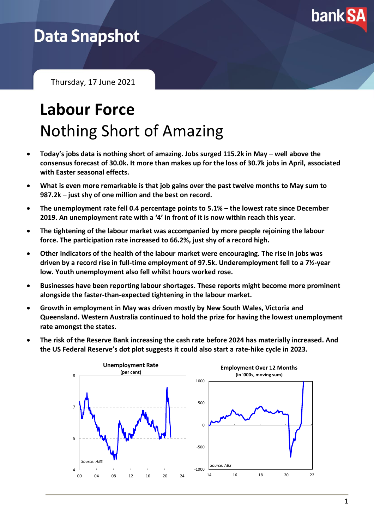

## **Data Snapshot**

Thursday, 17 June 2021

# **Labour Force** Nothing Short of Amazing

- Today's jobs data is nothing short of amazing. Jobs surged 115.2k in May well above the **consensus forecast of 30.0k. It more than makes up for the loss of 30.7k jobs in April, associated with Easter seasonal effects.**
- **What is even more remarkable is that job gains over the past twelve months to May sum to 987.2k – just shy of one million and the best on record.**
- **The unemployment rate fell 0.4 percentage points to 5.1% – the lowest rate since December 2019. An unemployment rate with a '4' in front of it is now within reach this year.**
- **The tightening of the labour market was accompanied by more people rejoining the labour force. The participation rate increased to 66.2%, just shy of a record high.**
- **Other indicators of the health of the labour market were encouraging. The rise in jobs was driven by a record rise in full-time employment of 97.5k. Underemployment fell to a 7½-year low. Youth unemployment also fell whilst hours worked rose.**
- **Businesses have been reporting labour shortages. These reports might become more prominent alongside the faster-than-expected tightening in the labour market.**
- **Growth in employment in May was driven mostly by New South Wales, Victoria and Queensland. Western Australia continued to hold the prize for having the lowest unemployment rate amongst the states.**
- **The risk of the Reserve Bank increasing the cash rate before 2024 has materially increased. And the US Federal Reserve's dot plot suggests it could also start a rate-hike cycle in 2023.**

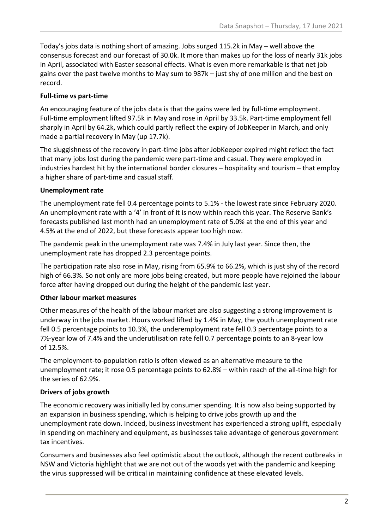Today's jobs data is nothing short of amazing. Jobs surged 115.2k in May – well above the consensus forecast and our forecast of 30.0k. It more than makes up for the loss of nearly 31k jobs in April, associated with Easter seasonal effects. What is even more remarkable is that net job gains over the past twelve months to May sum to 987k – just shy of one million and the best on record.

#### **Full-time vs part-time**

An encouraging feature of the jobs data is that the gains were led by full-time employment. Full-time employment lifted 97.5k in May and rose in April by 33.5k. Part-time employment fell sharply in April by 64.2k, which could partly reflect the expiry of JobKeeper in March, and only made a partial recovery in May (up 17.7k).

The sluggishness of the recovery in part-time jobs after JobKeeper expired might reflect the fact that many jobs lost during the pandemic were part-time and casual. They were employed in industries hardest hit by the international border closures – hospitality and tourism – that employ a higher share of part-time and casual staff.

#### **Unemployment rate**

The unemployment rate fell 0.4 percentage points to 5.1% - the lowest rate since February 2020. An unemployment rate with a '4' in front of it is now within reach this year. The Reserve Bank's forecasts published last month had an unemployment rate of 5.0% at the end of this year and 4.5% at the end of 2022, but these forecasts appear too high now.

The pandemic peak in the unemployment rate was 7.4% in July last year. Since then, the unemployment rate has dropped 2.3 percentage points.

The participation rate also rose in May, rising from 65.9% to 66.2%, which is just shy of the record high of 66.3%. So not only are more jobs being created, but more people have rejoined the labour force after having dropped out during the height of the pandemic last year.

#### **Other labour market measures**

Other measures of the health of the labour market are also suggesting a strong improvement is underway in the jobs market. Hours worked lifted by 1.4% in May, the youth unemployment rate fell 0.5 percentage points to 10.3%, the underemployment rate fell 0.3 percentage points to a 7½-year low of 7.4% and the underutilisation rate fell 0.7 percentage points to an 8-year low of 12.5%.

The employment-to-population ratio is often viewed as an alternative measure to the unemployment rate; it rose 0.5 percentage points to 62.8% – within reach of the all-time high for the series of 62.9%.

#### **Drivers of jobs growth**

The economic recovery was initially led by consumer spending. It is now also being supported by an expansion in business spending, which is helping to drive jobs growth up and the unemployment rate down. Indeed, business investment has experienced a strong uplift, especially in spending on machinery and equipment, as businesses take advantage of generous government tax incentives.

Consumers and businesses also feel optimistic about the outlook, although the recent outbreaks in NSW and Victoria highlight that we are not out of the woods yet with the pandemic and keeping the virus suppressed will be critical in maintaining confidence at these elevated levels.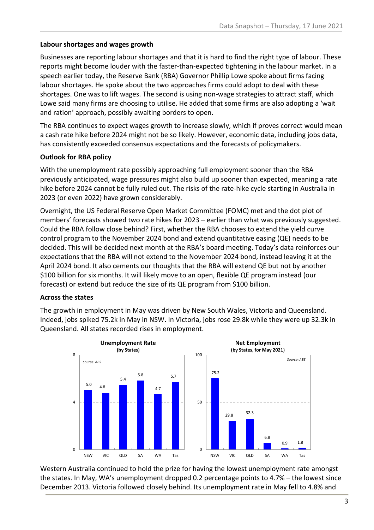#### **Labour shortages and wages growth**

Businesses are reporting labour shortages and that it is hard to find the right type of labour. These reports might become louder with the faster-than-expected tightening in the labour market. In a speech earlier today, the Reserve Bank (RBA) Governor Phillip Lowe spoke about firms facing labour shortages. He spoke about the two approaches firms could adopt to deal with these shortages. One was to lift wages. The second is using non-wage strategies to attract staff, which Lowe said many firms are choosing to utilise. He added that some firms are also adopting a 'wait and ration' approach, possibly awaiting borders to open.

The RBA continues to expect wages growth to increase slowly, which if proves correct would mean a cash rate hike before 2024 might not be so likely. However, economic data, including jobs data, has consistently exceeded consensus expectations and the forecasts of policymakers.

#### **Outlook for RBA policy**

With the unemployment rate possibly approaching full employment sooner than the RBA previously anticipated, wage pressures might also build up sooner than expected, meaning a rate hike before 2024 cannot be fully ruled out. The risks of the rate-hike cycle starting in Australia in 2023 (or even 2022) have grown considerably.

Overnight, the US Federal Reserve Open Market Committee (FOMC) met and the dot plot of members' forecasts showed two rate hikes for 2023 – earlier than what was previously suggested. Could the RBA follow close behind? First, whether the RBA chooses to extend the yield curve control program to the November 2024 bond and extend quantitative easing (QE) needs to be decided. This will be decided next month at the RBA's board meeting. Today's data reinforces our expectations that the RBA will not extend to the November 2024 bond, instead leaving it at the April 2024 bond. It also cements our thoughts that the RBA will extend QE but not by another \$100 billion for six months. It will likely move to an open, flexible QE program instead (our forecast) or extend but reduce the size of its QE program from \$100 billion.

#### **Across the states**

The growth in employment in May was driven by New South Wales, Victoria and Queensland. Indeed, jobs spiked 75.2k in May in NSW. In Victoria, jobs rose 29.8k while they were up 32.3k in Queensland. All states recorded rises in employment.



Western Australia continued to hold the prize for having the lowest unemployment rate amongst the states. In May, WA's unemployment dropped 0.2 percentage points to 4.7% – the lowest since December 2013. Victoria followed closely behind. Its unemployment rate in May fell to 4.8% and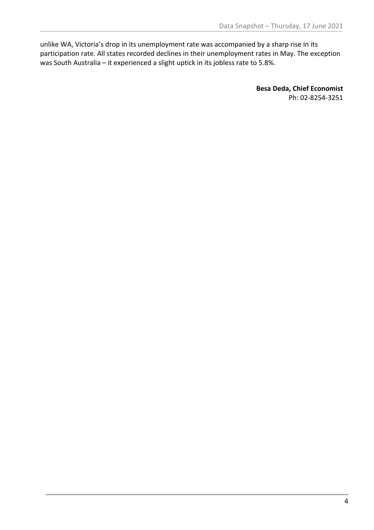unlike WA, Victoria's drop in its unemployment rate was accompanied by a sharp rise in its participation rate. All states recorded declines in their unemployment rates in May. The exception was South Australia – it experienced a slight uptick in its jobless rate to 5.8%.

> **Besa Deda, Chief Economist** Ph: 02-8254-3251